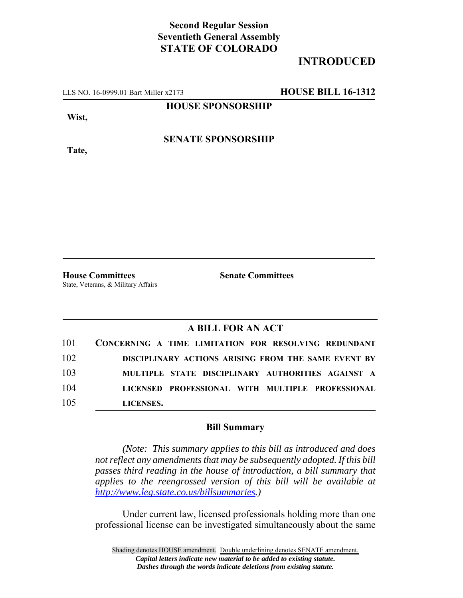## **Second Regular Session Seventieth General Assembly STATE OF COLORADO**

## **INTRODUCED**

LLS NO. 16-0999.01 Bart Miller x2173 **HOUSE BILL 16-1312**

**HOUSE SPONSORSHIP**

**Wist,**

**Tate,**

**SENATE SPONSORSHIP**

State, Veterans, & Military Affairs

**House Committees Senate Committees**

## **A BILL FOR AN ACT**

| 101 | CONCERNING A TIME LIMITATION FOR RESOLVING REDUNDANT |
|-----|------------------------------------------------------|
| 102 | DISCIPLINARY ACTIONS ARISING FROM THE SAME EVENT BY  |
| 103 | MULTIPLE STATE DISCIPLINARY AUTHORITIES AGAINST A    |
| 104 | LICENSED PROFESSIONAL WITH MULTIPLE PROFESSIONAL     |
| 105 | LICENSES.                                            |

## **Bill Summary**

*(Note: This summary applies to this bill as introduced and does not reflect any amendments that may be subsequently adopted. If this bill passes third reading in the house of introduction, a bill summary that applies to the reengrossed version of this bill will be available at http://www.leg.state.co.us/billsummaries.)*

Under current law, licensed professionals holding more than one professional license can be investigated simultaneously about the same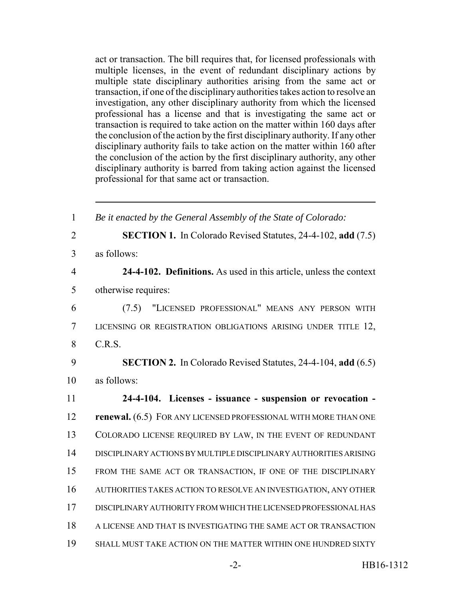act or transaction. The bill requires that, for licensed professionals with multiple licenses, in the event of redundant disciplinary actions by multiple state disciplinary authorities arising from the same act or transaction, if one of the disciplinary authorities takes action to resolve an investigation, any other disciplinary authority from which the licensed professional has a license and that is investigating the same act or transaction is required to take action on the matter within 160 days after the conclusion of the action by the first disciplinary authority. If any other disciplinary authority fails to take action on the matter within 160 after the conclusion of the action by the first disciplinary authority, any other disciplinary authority is barred from taking action against the licensed professional for that same act or transaction.

| $\mathbf{1}$   | Be it enacted by the General Assembly of the State of Colorado:     |
|----------------|---------------------------------------------------------------------|
| $\overline{2}$ | <b>SECTION 1.</b> In Colorado Revised Statutes, 24-4-102, add (7.5) |
| $\overline{3}$ | as follows:                                                         |
| $\overline{4}$ | 24-4-102. Definitions. As used in this article, unless the context  |
| 5              | otherwise requires:                                                 |
| 6              | "LICENSED PROFESSIONAL" MEANS ANY PERSON WITH<br>(7.5)              |
| $\tau$         | LICENSING OR REGISTRATION OBLIGATIONS ARISING UNDER TITLE 12,       |
| 8              | C.R.S.                                                              |
| 9              | <b>SECTION 2.</b> In Colorado Revised Statutes, 24-4-104, add (6.5) |
| 10             | as follows:                                                         |
| 11             | 24-4-104. Licenses - issuance - suspension or revocation -          |
| 12             | renewal. (6.5) FOR ANY LICENSED PROFESSIONAL WITH MORE THAN ONE     |
| 13             | COLORADO LICENSE REQUIRED BY LAW, IN THE EVENT OF REDUNDANT         |
| 14             | DISCIPLINARY ACTIONS BY MULTIPLE DISCIPLINARY AUTHORITIES ARISING   |
|                |                                                                     |
| 15             | FROM THE SAME ACT OR TRANSACTION, IF ONE OF THE DISCIPLINARY        |
| 16             | AUTHORITIES TAKES ACTION TO RESOLVE AN INVESTIGATION, ANY OTHER     |
| 17             | DISCIPLINARY AUTHORITY FROM WHICH THE LICENSED PROFESSIONAL HAS     |
| 18             | A LICENSE AND THAT IS INVESTIGATING THE SAME ACT OR TRANSACTION     |